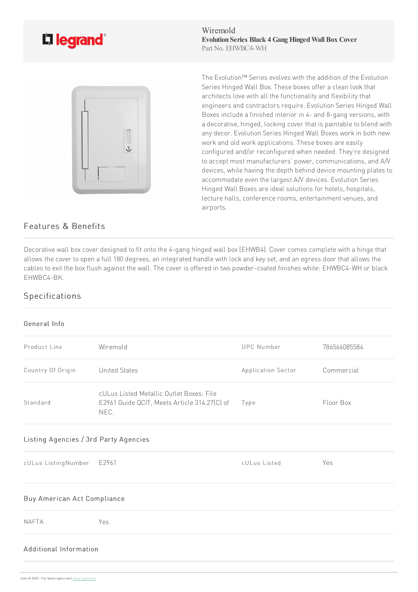

Wiremold **Evolution Series Black 4 Gang HingedWall Box Cover** Part No. EHWBC4-WH



The Evolution™ Series evolves with the addition of the Evolution Series Hinged Wall Box. These boxes offer a clean look that architects love with all the functionality and flexibility that engineers and contractors require. Evolution Series Hinged Wall Boxes include a finished interior in 4- and 8-gang versions, with a decorative, hinged, locking cover that is paintable to blend with any decor. Evolution Series Hinged Wall Boxes work in both new work and old work applications. These boxes are easily configured and/or reconfigured when needed. They're designed to accept most manufacturers' power, communications, and A/V devices, while having the depth behind device mounting plates to accommodate even the largest A/V devices. Evolution Series Hinged Wall Boxes are ideal solutions for hotels, hospitals, lecture halls, conference rooms, entertainment venues, and airports.

## Features & Benefits

Decorative wall box cover designed to fit onto the 4-gang hinged wall box (EHWB4). Cover comes complete with a hinge that allows the cover to open a full 180 degrees, an integrated handle with lock and key set, and an egress door that allows the cables to exit the box flush against the wall. The cover is offered in two powder-coated finishes white: EHWBC4-WH or black EHWBC4-BK.

## Specifications

## General Info

| Product Line                          | Wiremold                                                                                         | <b>UPC</b> Number  | 786564085584 |
|---------------------------------------|--------------------------------------------------------------------------------------------------|--------------------|--------------|
| Country Of Origin                     | <b>United States</b>                                                                             | Application Sector | Commercial   |
| Standard                              | cULus Listed Metallic Outlet Boxes: File<br>E2961 Guide QCIT, Meets Article 314.27(C) of<br>NEC. | Type               | Floor Box    |
| Listing Agencies / 3rd Party Agencies |                                                                                                  |                    |              |

cULus ListingNumber E2961 cULus Listed Yes Buy American Act Compliance NAFTA Yes Additional Information